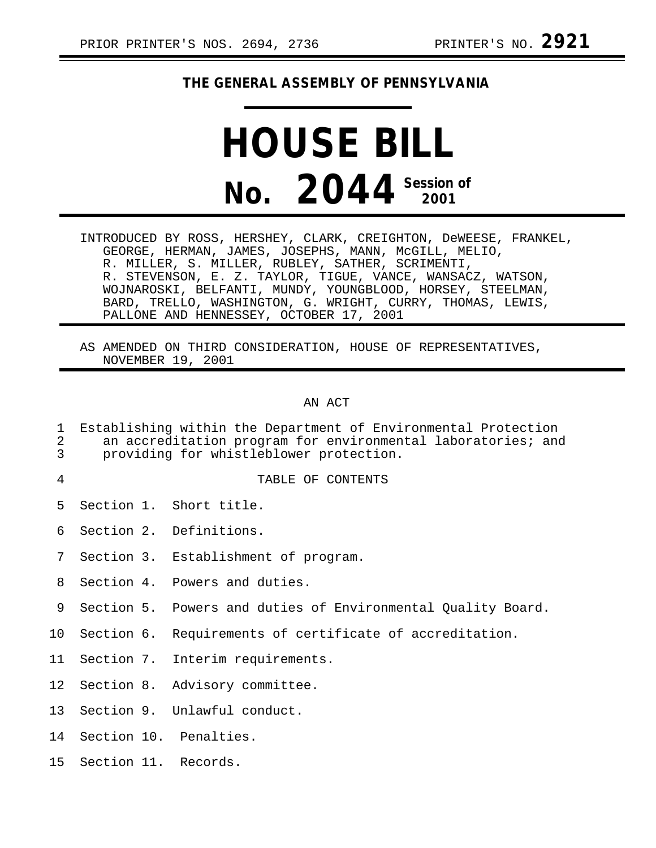## **THE GENERAL ASSEMBLY OF PENNSYLVANIA**

## **HOUSE BILL No. 2044 Session of 2001**

INTRODUCED BY ROSS, HERSHEY, CLARK, CREIGHTON, DeWEESE, FRANKEL, GEORGE, HERMAN, JAMES, JOSEPHS, MANN, McGILL, MELIO, R. MILLER, S. MILLER, RUBLEY, SATHER, SCRIMENTI, R. STEVENSON, E. Z. TAYLOR, TIGUE, VANCE, WANSACZ, WATSON, WOJNAROSKI, BELFANTI, MUNDY, YOUNGBLOOD, HORSEY, STEELMAN, BARD, TRELLO, WASHINGTON, G. WRIGHT, CURRY, THOMAS, LEWIS, PALLONE AND HENNESSEY, OCTOBER 17, 2001

AS AMENDED ON THIRD CONSIDERATION, HOUSE OF REPRESENTATIVES, NOVEMBER 19, 2001

## AN ACT

- 1 Establishing within the Department of Environmental Protection<br>2 an accreditation program for environmental laboratories; and 2 an accreditation program for environmental laboratories; and<br>3 broviding for whistleblower protection.
- providing for whistleblower protection.
- 

## 4 TABLE OF CONTENTS

- 5 Section 1. Short title.
- 6 Section 2. Definitions.
- 7 Section 3. Establishment of program.
- 8 Section 4. Powers and duties.
- 9 Section 5. Powers and duties of Environmental Quality Board.
- 10 Section 6. Requirements of certificate of accreditation.
- 11 Section 7. Interim requirements.
- 12 Section 8. Advisory committee.
- 13 Section 9. Unlawful conduct.
- 14 Section 10. Penalties.
- 15 Section 11. Records.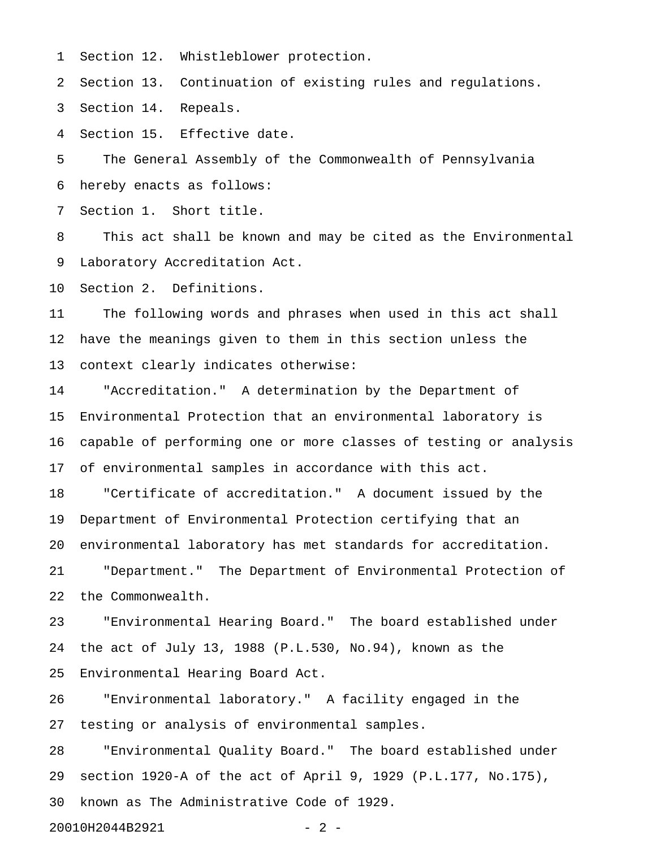1 Section 12. Whistleblower protection.

2 Section 13. Continuation of existing rules and regulations.

3 Section 14. Repeals.

4 Section 15. Effective date.

5 The General Assembly of the Commonwealth of Pennsylvania 6 hereby enacts as follows:

7 Section 1. Short title.

8 This act shall be known and may be cited as the Environmental 9 Laboratory Accreditation Act.

10 Section 2. Definitions.

11 The following words and phrases when used in this act shall 12 have the meanings given to them in this section unless the 13 context clearly indicates otherwise:

14 "Accreditation." A determination by the Department of 15 Environmental Protection that an environmental laboratory is 16 capable of performing one or more classes of testing or analysis 17 of environmental samples in accordance with this act.

18 "Certificate of accreditation." A document issued by the 19 Department of Environmental Protection certifying that an 20 environmental laboratory has met standards for accreditation. 21 "Department." The Department of Environmental Protection of 22 the Commonwealth.

23 "Environmental Hearing Board." The board established under 24 the act of July 13, 1988 (P.L.530, No.94), known as the 25 Environmental Hearing Board Act.

26 "Environmental laboratory." A facility engaged in the 27 testing or analysis of environmental samples.

28 "Environmental Quality Board." The board established under 29 section 1920-A of the act of April 9, 1929 (P.L.177, No.175), 30 known as The Administrative Code of 1929.

20010H2044B2921 - 2 -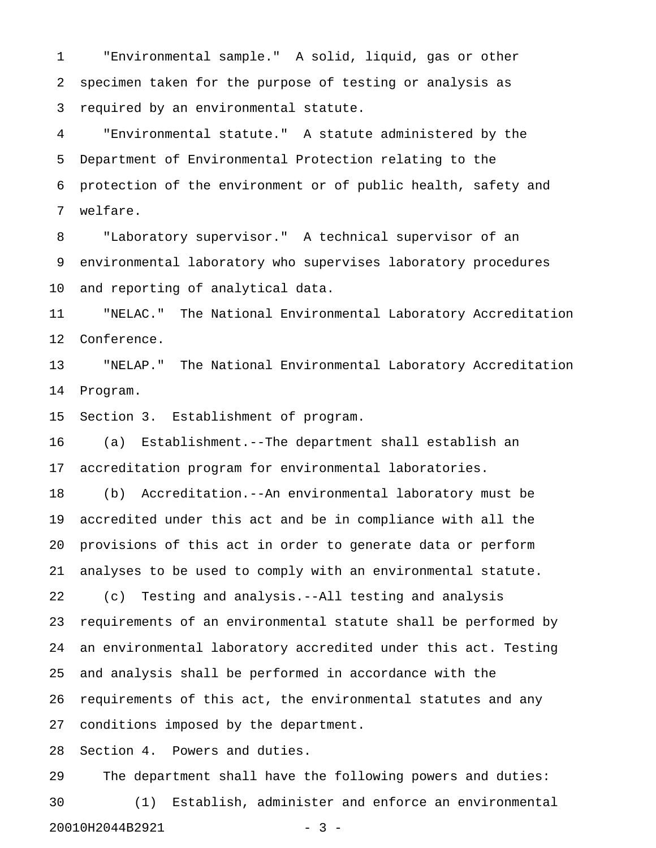1 "Environmental sample." A solid, liquid, gas or other 2 specimen taken for the purpose of testing or analysis as 3 required by an environmental statute.

4 "Environmental statute." A statute administered by the 5 Department of Environmental Protection relating to the 6 protection of the environment or of public health, safety and 7 welfare.

8 "Laboratory supervisor." A technical supervisor of an 9 environmental laboratory who supervises laboratory procedures 10 and reporting of analytical data.

11 "NELAC." The National Environmental Laboratory Accreditation 12 Conference.

13 "NELAP." The National Environmental Laboratory Accreditation 14 Program.

15 Section 3. Establishment of program.

16 (a) Establishment.--The department shall establish an 17 accreditation program for environmental laboratories.

18 (b) Accreditation.--An environmental laboratory must be 19 accredited under this act and be in compliance with all the 20 provisions of this act in order to generate data or perform 21 analyses to be used to comply with an environmental statute.

22 (c) Testing and analysis.--All testing and analysis 23 requirements of an environmental statute shall be performed by 24 an environmental laboratory accredited under this act. Testing 25 and analysis shall be performed in accordance with the 26 requirements of this act, the environmental statutes and any 27 conditions imposed by the department.

28 Section 4. Powers and duties.

29 The department shall have the following powers and duties: 30 (1) Establish, administer and enforce an environmental 20010H2044B2921 - 3 -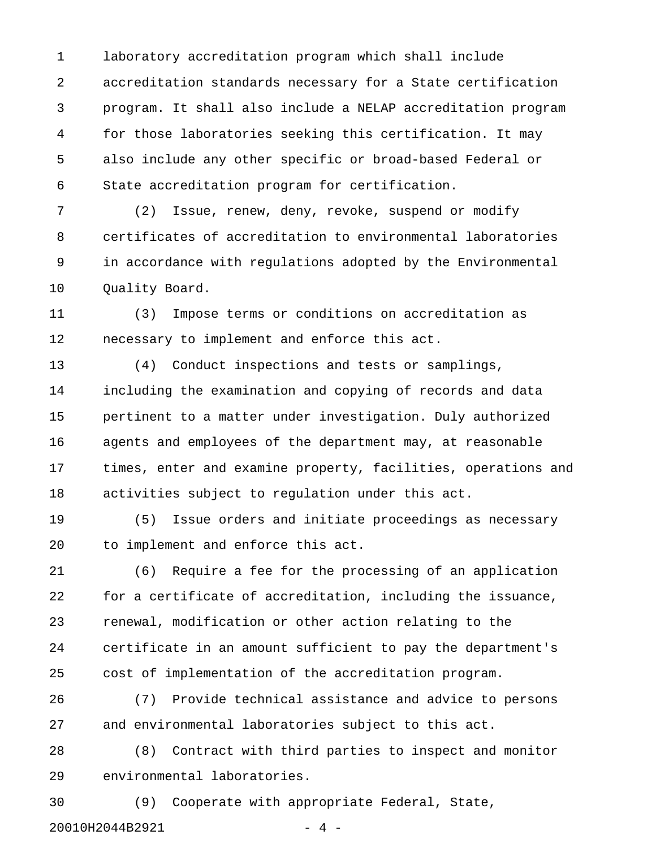1 laboratory accreditation program which shall include 2 accreditation standards necessary for a State certification 3 program. It shall also include a NELAP accreditation program 4 for those laboratories seeking this certification. It may 5 also include any other specific or broad-based Federal or 6 State accreditation program for certification.

7 (2) Issue, renew, deny, revoke, suspend or modify 8 certificates of accreditation to environmental laboratories 9 in accordance with regulations adopted by the Environmental 10 Quality Board.

11 (3) Impose terms or conditions on accreditation as 12 necessary to implement and enforce this act.

13 (4) Conduct inspections and tests or samplings, 14 including the examination and copying of records and data 15 pertinent to a matter under investigation. Duly authorized 16 agents and employees of the department may, at reasonable 17 times, enter and examine property, facilities, operations and 18 activities subject to regulation under this act.

19 (5) Issue orders and initiate proceedings as necessary 20 to implement and enforce this act.

21 (6) Require a fee for the processing of an application 22 for a certificate of accreditation, including the issuance, 23 renewal, modification or other action relating to the 24 certificate in an amount sufficient to pay the department's 25 cost of implementation of the accreditation program.

26 (7) Provide technical assistance and advice to persons 27 and environmental laboratories subject to this act.

28 (8) Contract with third parties to inspect and monitor 29 environmental laboratories.

30 (9) Cooperate with appropriate Federal, State, 20010H2044B2921 - 4 -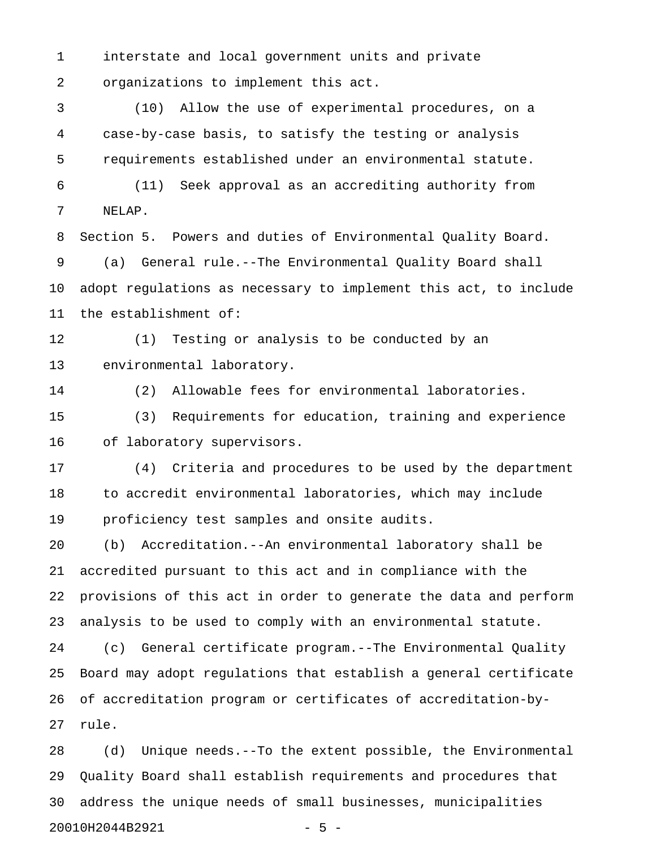1 interstate and local government units and private 2 organizations to implement this act.

3 (10) Allow the use of experimental procedures, on a 4 case-by-case basis, to satisfy the testing or analysis 5 requirements established under an environmental statute.

6 (11) Seek approval as an accrediting authority from 7 NELAP.

8 Section 5. Powers and duties of Environmental Quality Board. 9 (a) General rule.--The Environmental Quality Board shall 10 adopt regulations as necessary to implement this act, to include 11 the establishment of:

12 (1) Testing or analysis to be conducted by an 13 environmental laboratory.

14 (2) Allowable fees for environmental laboratories.

15 (3) Requirements for education, training and experience 16 of laboratory supervisors.

17 (4) Criteria and procedures to be used by the department 18 to accredit environmental laboratories, which may include 19 proficiency test samples and onsite audits.

20 (b) Accreditation.--An environmental laboratory shall be 21 accredited pursuant to this act and in compliance with the 22 provisions of this act in order to generate the data and perform 23 analysis to be used to comply with an environmental statute.

24 (c) General certificate program.--The Environmental Quality 25 Board may adopt regulations that establish a general certificate 26 of accreditation program or certificates of accreditation-by-27 rule.

28 (d) Unique needs.--To the extent possible, the Environmental 29 Quality Board shall establish requirements and procedures that 30 address the unique needs of small businesses, municipalities 20010H2044B2921 - 5 -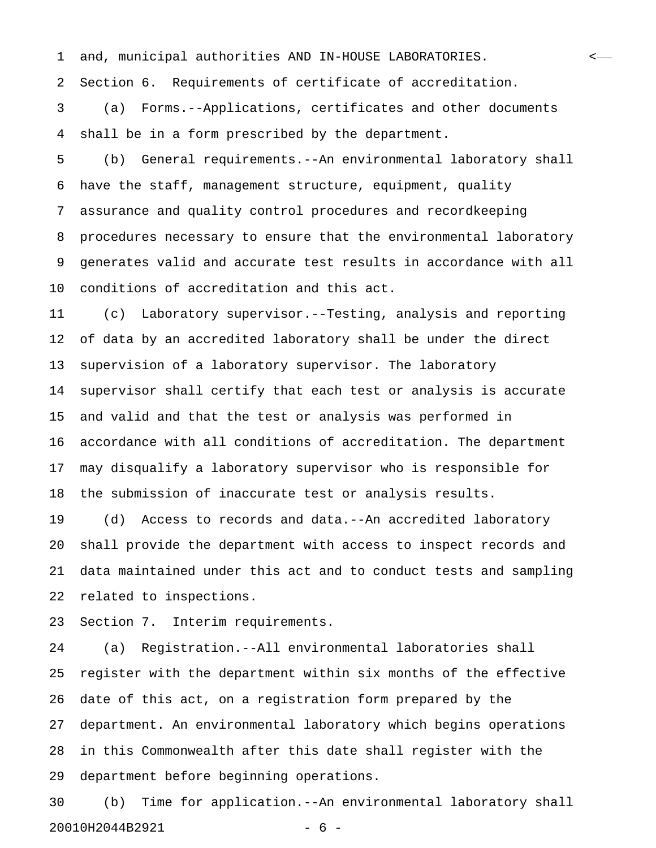1 <del>and</del>, municipal authorities AND IN-HOUSE LABORATORIES. <-

2 Section 6. Requirements of certificate of accreditation.

3 (a) Forms.--Applications, certificates and other documents 4 shall be in a form prescribed by the department.

5 (b) General requirements.--An environmental laboratory shall 6 have the staff, management structure, equipment, quality 7 assurance and quality control procedures and recordkeeping 8 procedures necessary to ensure that the environmental laboratory 9 generates valid and accurate test results in accordance with all 10 conditions of accreditation and this act.

11 (c) Laboratory supervisor.--Testing, analysis and reporting 12 of data by an accredited laboratory shall be under the direct 13 supervision of a laboratory supervisor. The laboratory 14 supervisor shall certify that each test or analysis is accurate 15 and valid and that the test or analysis was performed in 16 accordance with all conditions of accreditation. The department 17 may disqualify a laboratory supervisor who is responsible for 18 the submission of inaccurate test or analysis results.

19 (d) Access to records and data.--An accredited laboratory 20 shall provide the department with access to inspect records and 21 data maintained under this act and to conduct tests and sampling 22 related to inspections.

23 Section 7. Interim requirements.

24 (a) Registration.--All environmental laboratories shall 25 register with the department within six months of the effective 26 date of this act, on a registration form prepared by the 27 department. An environmental laboratory which begins operations 28 in this Commonwealth after this date shall register with the 29 department before beginning operations.

30 (b) Time for application.--An environmental laboratory shall 20010H2044B2921 - 6 -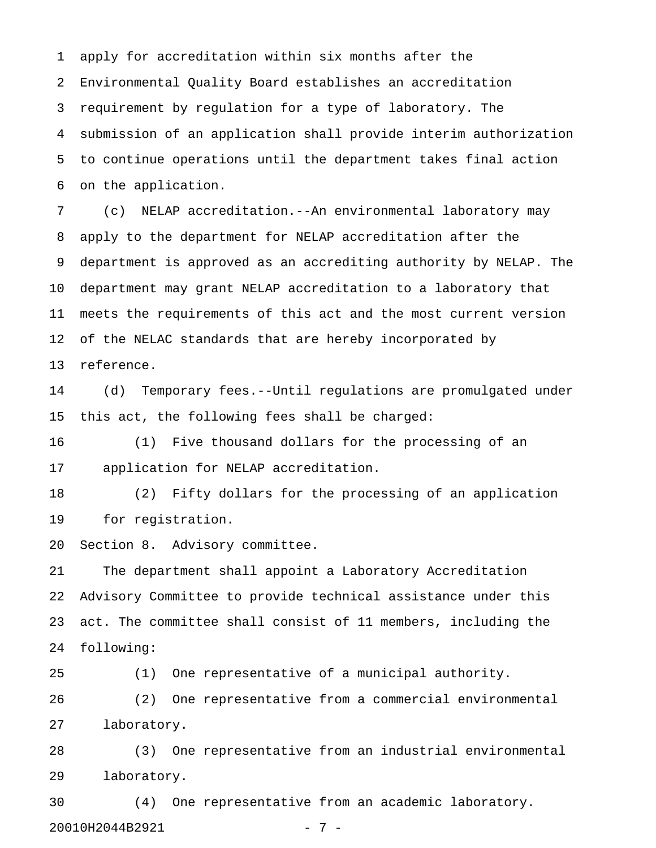1 apply for accreditation within six months after the 2 Environmental Quality Board establishes an accreditation 3 requirement by regulation for a type of laboratory. The 4 submission of an application shall provide interim authorization 5 to continue operations until the department takes final action 6 on the application.

7 (c) NELAP accreditation.--An environmental laboratory may 8 apply to the department for NELAP accreditation after the 9 department is approved as an accrediting authority by NELAP. The 10 department may grant NELAP accreditation to a laboratory that 11 meets the requirements of this act and the most current version 12 of the NELAC standards that are hereby incorporated by 13 reference.

14 (d) Temporary fees.--Until regulations are promulgated under 15 this act, the following fees shall be charged:

16 (1) Five thousand dollars for the processing of an 17 application for NELAP accreditation.

18 (2) Fifty dollars for the processing of an application 19 for registration.

20 Section 8. Advisory committee.

21 The department shall appoint a Laboratory Accreditation 22 Advisory Committee to provide technical assistance under this 23 act. The committee shall consist of 11 members, including the 24 following:

25 (1) One representative of a municipal authority. 26 (2) One representative from a commercial environmental 27 laboratory.

28 (3) One representative from an industrial environmental 29 laboratory.

30 (4) One representative from an academic laboratory. 20010H2044B2921 - 7 -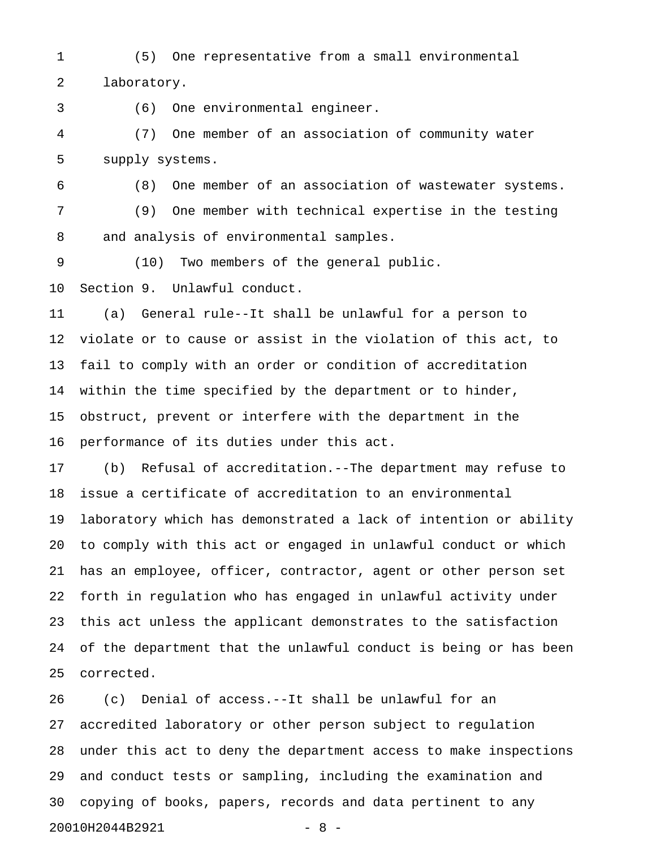1 (5) One representative from a small environmental 2 laboratory.

3 (6) One environmental engineer.

4 (7) One member of an association of community water 5 supply systems.

6 (8) One member of an association of wastewater systems. 7 (9) One member with technical expertise in the testing 8 and analysis of environmental samples.

9 (10) Two members of the general public.

10 Section 9. Unlawful conduct.

11 (a) General rule--It shall be unlawful for a person to 12 violate or to cause or assist in the violation of this act, to 13 fail to comply with an order or condition of accreditation 14 within the time specified by the department or to hinder, 15 obstruct, prevent or interfere with the department in the 16 performance of its duties under this act.

17 (b) Refusal of accreditation.--The department may refuse to 18 issue a certificate of accreditation to an environmental 19 laboratory which has demonstrated a lack of intention or ability 20 to comply with this act or engaged in unlawful conduct or which 21 has an employee, officer, contractor, agent or other person set 22 forth in regulation who has engaged in unlawful activity under 23 this act unless the applicant demonstrates to the satisfaction 24 of the department that the unlawful conduct is being or has been 25 corrected.

26 (c) Denial of access.--It shall be unlawful for an 27 accredited laboratory or other person subject to regulation 28 under this act to deny the department access to make inspections 29 and conduct tests or sampling, including the examination and 30 copying of books, papers, records and data pertinent to any 20010H2044B2921 - 8 -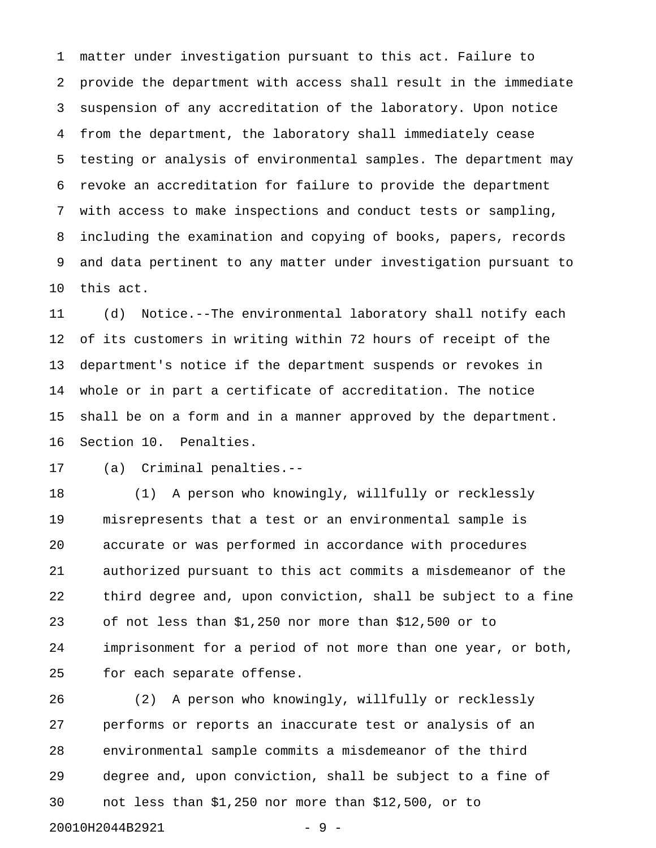1 matter under investigation pursuant to this act. Failure to 2 provide the department with access shall result in the immediate 3 suspension of any accreditation of the laboratory. Upon notice 4 from the department, the laboratory shall immediately cease 5 testing or analysis of environmental samples. The department may 6 revoke an accreditation for failure to provide the department 7 with access to make inspections and conduct tests or sampling, 8 including the examination and copying of books, papers, records 9 and data pertinent to any matter under investigation pursuant to 10 this act.

11 (d) Notice.--The environmental laboratory shall notify each 12 of its customers in writing within 72 hours of receipt of the 13 department's notice if the department suspends or revokes in 14 whole or in part a certificate of accreditation. The notice 15 shall be on a form and in a manner approved by the department. 16 Section 10. Penalties.

17 (a) Criminal penalties.--

18 (1) A person who knowingly, willfully or recklessly 19 misrepresents that a test or an environmental sample is 20 accurate or was performed in accordance with procedures 21 authorized pursuant to this act commits a misdemeanor of the 22 third degree and, upon conviction, shall be subject to a fine 23 of not less than \$1,250 nor more than \$12,500 or to 24 imprisonment for a period of not more than one year, or both, 25 for each separate offense.

26 (2) A person who knowingly, willfully or recklessly 27 performs or reports an inaccurate test or analysis of an 28 environmental sample commits a misdemeanor of the third 29 degree and, upon conviction, shall be subject to a fine of 30 not less than \$1,250 nor more than \$12,500, or to 20010H2044B2921 - 9 -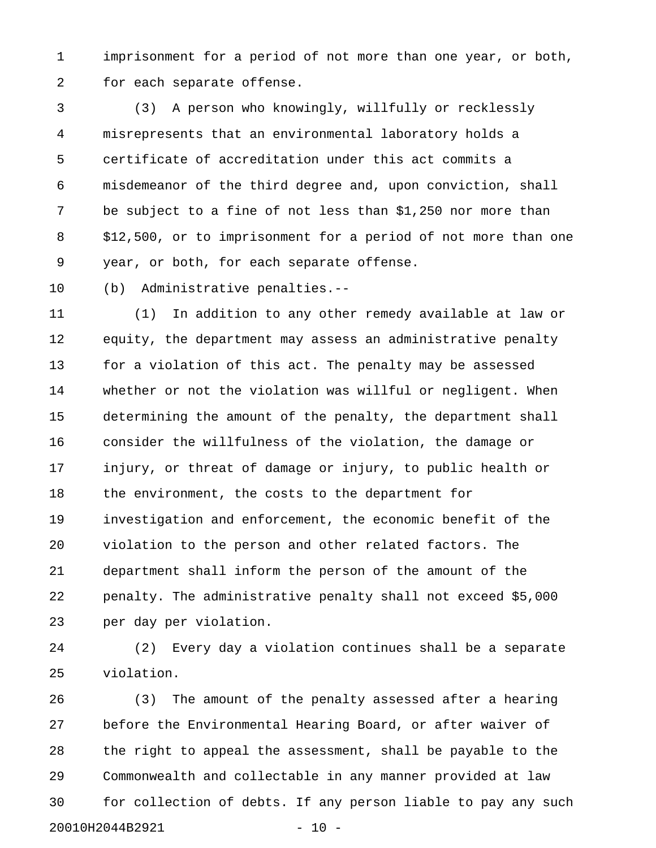1 imprisonment for a period of not more than one year, or both, 2 for each separate offense.

3 (3) A person who knowingly, willfully or recklessly 4 misrepresents that an environmental laboratory holds a 5 certificate of accreditation under this act commits a 6 misdemeanor of the third degree and, upon conviction, shall 7 be subject to a fine of not less than \$1,250 nor more than 8 \$12,500, or to imprisonment for a period of not more than one 9 year, or both, for each separate offense.

10 (b) Administrative penalties.--

11 (1) In addition to any other remedy available at law or 12 equity, the department may assess an administrative penalty 13 for a violation of this act. The penalty may be assessed 14 whether or not the violation was willful or negligent. When 15 determining the amount of the penalty, the department shall 16 consider the willfulness of the violation, the damage or 17 injury, or threat of damage or injury, to public health or 18 the environment, the costs to the department for 19 investigation and enforcement, the economic benefit of the 20 violation to the person and other related factors. The 21 department shall inform the person of the amount of the 22 penalty. The administrative penalty shall not exceed \$5,000 23 per day per violation.

24 (2) Every day a violation continues shall be a separate 25 violation.

26 (3) The amount of the penalty assessed after a hearing 27 before the Environmental Hearing Board, or after waiver of 28 the right to appeal the assessment, shall be payable to the 29 Commonwealth and collectable in any manner provided at law 30 for collection of debts. If any person liable to pay any such 20010H2044B2921 - 10 -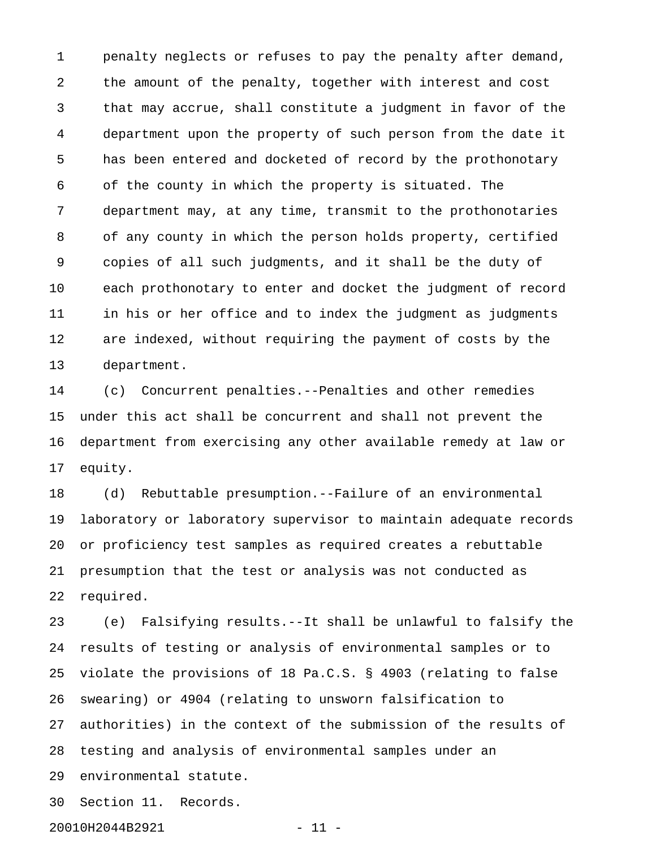1 penalty neglects or refuses to pay the penalty after demand, 2 the amount of the penalty, together with interest and cost 3 that may accrue, shall constitute a judgment in favor of the 4 department upon the property of such person from the date it 5 has been entered and docketed of record by the prothonotary 6 of the county in which the property is situated. The 7 department may, at any time, transmit to the prothonotaries 8 of any county in which the person holds property, certified 9 copies of all such judgments, and it shall be the duty of 10 each prothonotary to enter and docket the judgment of record 11 in his or her office and to index the judgment as judgments 12 are indexed, without requiring the payment of costs by the 13 department.

14 (c) Concurrent penalties.--Penalties and other remedies 15 under this act shall be concurrent and shall not prevent the 16 department from exercising any other available remedy at law or 17 equity.

18 (d) Rebuttable presumption.--Failure of an environmental 19 laboratory or laboratory supervisor to maintain adequate records 20 or proficiency test samples as required creates a rebuttable 21 presumption that the test or analysis was not conducted as 22 required.

23 (e) Falsifying results.--It shall be unlawful to falsify the 24 results of testing or analysis of environmental samples or to 25 violate the provisions of 18 Pa.C.S. § 4903 (relating to false 26 swearing) or 4904 (relating to unsworn falsification to 27 authorities) in the context of the submission of the results of 28 testing and analysis of environmental samples under an 29 environmental statute.

30 Section 11. Records.

20010H2044B2921 - 11 -